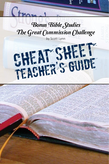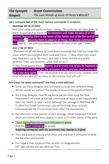### Let's compare two of the most famous commands in scripture:

## *Matthew 28:18-20 NKJV*

*And Jesus came and spoke to them, saying, "All authority has been given to Me in heaven and on earth. <sup>19</sup> Go therefore and make disciples of all the nations, baptizing them in the name of the Father and of the Son and of the Holy Spirit, 20 teaching them to observe all things that I have commanded you ; and lo, I am with you always, even to the end of the age." Amen.* 

# *Acts 2:36-39 NKJV*

*"Therefore let all the house of Israel know assuredly that God has made this Jesus, whom you crucified, both Lord and Christ." <sup>37</sup>Now when they heard this, they were cut to the heart, and said to Peter and the rest of the apostles, "Men and brethren, what shall we do?"* 

*<sup>38</sup> Then Peter said to them, "Repent, and let every one of you be baptized in the name of Jesus Christ for the remission of sins; and you shall receive the gift of the Holy Spirit. <sup>39</sup> For the promise is to you and to your children, and to all who are afar off, as many as the Lord our God will call."*

### Are these the same command? Are they a contradiction?

- Some say these disagree and command us to do two different things. Whose words are better? The words of Jesus or the words of Peter?
- But if they disagree, how do we know we can even trust the New Testament? Let's look at the last commands of Jesus in the Gospels and open our hearts to God's word. Although the passage in Matthew 28 is called the Great Commission, you will find that Jesus actually commissioned the church three times after the resurrection.
- Pay attention to the context of each passage. What happened first and when and where did Jesus appear in each. Let's make sense of the story.
- I have highlighted the context indicators in green. And the exact commands in purple. Anything connected with His ascension into Heaven is in grey.
- Then we'll look at exactly what Jesus said and how it compares to what the Apostles said and did.
- Our hope is that scripture lines up with no disagreement. Let's get started and see what we find…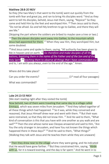#### Matthew 28:8-20 NKJV

So they [the two Mary's that went to the tomb] went out quickly from the tomb with fear and great joy, and ran to bring His disciples word. <sup>9</sup> And as they went to tell His disciples, behold, Jesus met them, saying, "Rejoice!" So they came and held Him by the feet and worshiped Him. <sup>10</sup> Then Jesus said to them, "Do not be afraid. Go *and* tell My brethren to go to Galilee, and there they will see Me."

[Skipping the part where the soldiers are bribed to maybe save a tree or two.]

 $16$  Then the eleven disciples went away into Galilee, to the mountain which Jesus had appointed for them.<sup>17</sup> When they saw Him, they worshiped Him; but some doubted.

 $18$  And Jesus came and spoke to them, saying, "All authority has been given to Me in heaven and on earth. *<sup>19</sup> Go therefore and make disciples of all the nations, baptizing them in the name of the Father and of the Son and of the Holy Spirit, 20 teaching them to observe all things that I have commanded you ;* and lo, I am with you always, *even* to the end of the age." Amen.

| Where did this take place? |                                |
|----------------------------|--------------------------------|
| Can you order the events?  | $(1st$ read all four passages) |
| What was commanded?        |                                |
|                            |                                |

#### Luke 24:13-53 NKJV

[We start reading right after they visited the tomb]

Now behold, two of them were traveling that same day to a village called Emmaus, which was seven miles from Jerusalem.<sup>14</sup> And they talked together of all these things which had happened.  $15$  So it was, while they conversed and reasoned, that Jesus Himself drew near and went with them. <sup>16</sup> But their eyes were restrained, so that they did not know Him. <sup>17</sup> And He said to them, "What kind of conversation *is* this that you have with one another as you walk and are sad?"<sup>18</sup> Then the one whose name was Cleopas answered and said to Him, "Are You the only stranger in Jerusalem, and have You not known the things which happened there in these days?" <sup>19</sup> And He said to them, "What things?" [Walking they talk with Jesus and He teaches them while they are unaware]

<sup>28</sup> Then they drew near to the village where they were going, and He indicated that He would have gone farther. <sup>29</sup> But they constrained Him, saying, "Abide with us, for it is toward evening, and the day is far spent." And He went in to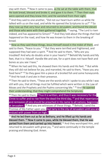stay with them. <sup>30</sup> Now it came to pass, as He sat at the table with them, that He took bread, blessed and broke *it,* and gave it to them. <sup>31</sup> Then their eyes were opened and they knew Him; and He vanished from their sight.

<sup>32</sup> And they said to one another, "Did not our heart burn within us while He talked with us on the road, and while He opened the Scriptures to us?" 33 So they rose up that very hour and returned to Jerusalem, and found the eleven and those *who were* with them gathered together, <sup>34</sup> saying, "The Lord is risen indeed, and has appeared to Simon!" <sup>35</sup> And they told about the things *that had happened* on the road, and how He was known to them in the breaking of bread.

<sup>36</sup> Now as they said these things, Jesus Himself stood in the midst of them, and said to them, "Peace to you." <sup>37</sup> But they were terrified and frightened, and supposed they had seen a spirit. <sup>38</sup> And He said to them, "Why are you troubled? And why do doubts arise in your hearts? <sup>39</sup> Behold My hands and My feet, that it is I Myself. Handle Me and see, for a spirit does not have flesh and bones as you see I have."

<sup>40</sup> When He had said this, He showed them His hands and His feet. <sup>41</sup> But while they still did not believe for joy, and marveled, He said to them, "Have you any food here?" <sup>42</sup> So they gave Him a piece of a broiled fish and some honeycomb. <sup>43</sup> And He took *it* and ate in their presence.

<sup>44</sup> Then He said to them, "These *are* the words which I spoke to you while I was still with you, that all things must be fulfilled which were written in the Law of Moses and *the* Prophets and *the* Psalms concerning Me." <sup>45</sup> And He opened their understanding, that they might comprehend the Scriptures.

<sup>46</sup> Then He said to them, "Thus it is written, and thus it was necessary for the Christ to suffer and to rise from the dead the third day, <sup>47</sup> and that repentance and remission of sins should be preached in His name to all nations, beginning at Jerusalem. <sup>48</sup> And you are witnesses of these things. <sup>49</sup> Behold, I send the Promise of My Father upon you; but tarry in the city of Jerusalem until you are endued with power from on high."

<sup>50</sup> And He led them out as far as Bethany, and He lifted up His hands and blessed them. <sup>51</sup> Now it came to pass, while He blessed them, that He was parted from them and carried up into heaven. <sup>52</sup> And they worshiped Him, and returned to Jerusalem with great joy, <sup>53</sup> and were continually in the temple praising and blessing God. Amen.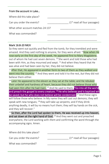#### From the account in Luke…

| Where did this take place?        |                                |
|-----------------------------------|--------------------------------|
| Can you order the events?         | $(1st$ read all four passages) |
| What other account matches 24:13? |                                |
| What was commanded?               |                                |
|                                   |                                |

#### Mark 16:8-20 NKJV

So they went out quickly and fled from the tomb, for they trembled and were amazed. And they said nothing to anyone, for they were afraid. <sup>9</sup> Now when *He* rose early on the first *day* of the week, He appeared first to Mary Magdalene, out of whom He had cast seven demons. <sup>10</sup> She went and told those who had been with Him, as they mourned and wept.  $11$  And when they heard that He was alive and had been seen by her, they did not believe.

<sup>12</sup> After that, He appeared in another form to two of them as they walked and went into the country. <sup>13</sup> And they went and told *it* to the rest, *but* they did not believe them either.

<sup>14</sup> Later He appeared to the eleven as they sat at the table; and He rebuked their unbelief and hardness of heart, because they did not believe those who had seen Him after He had risen. <sup>15</sup> And He said to them, "Go into all the world and preach the gospel to every creature. <sup>16</sup> He who believes and is baptized will be saved; but he who does not believe will be condemned.  $17$  And these signs will follow those who believe: In My name they will cast out demons; they will speak with new tongues;  $^{18}$  they will take up serpents; and if they drink anything deadly, it will by no means hurt them; they will lay hands on the sick, and they will recover."

<sup>19</sup> So then, after the Lord had spoken to them, He was received up into heaven, and sat down at the right hand of God. <sup>20</sup> And they went out and preached everywhere, the Lord working with *them* and confirming the word through the accompanying signs. Amen.

| Where did this take place? |                                |
|----------------------------|--------------------------------|
| Can you order the events?  | $(1st$ read all four passages) |
| What was commanded?        |                                |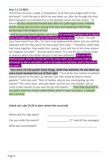### Acts 1:1-12 NKJV

The former account I made, O Theophilus, of all that Jesus began both to do and teach,  $2$  until the day in which He was taken up, after He through the Holy Spirit had given commandments to the apostles whom He had chosen,  $^3$  to whom He also presented Himself alive after His suffering by many infallible proofs, being seen by them during forty days and speaking of the things pertaining to the kingdom of God.

<sup>4</sup> And being assembled together with *them,* He commanded them not to depart from Jerusalem, but to wait for the Promise of the Father, "which," *He said,*

"you have heard from Me; <sup>5</sup> for John truly baptized with water, but you shall be baptized with the Holy Spirit not many days from now." <sup>6</sup> Therefore, when they had come together, they asked Him, saying, "Lord, will You at this time restore the kingdom to Israel?" <sup>7</sup> And He said to them, "It is not for you to know times or seasons which the Father has put in His own authority. <sup>8</sup> But you shall receive power when the Holy Spirit has come upon you; and you shall be witnesses to Me in Jerusalem, and in all Judea and Samaria, and to the end of the earth."

 $9$  Now when He had spoken these things, while they watched, He was taken up, and a cloud received Him out of their sight.  $10$  And while they looked steadfastly toward heaven as He went up, behold, two men stood by them in white apparel,  $11$  who also said, "Men of Galilee, why do you stand gazing up into heaven? This *same* Jesus, who was taken up from you into heaven, will so come in like manner as you saw Him go into heaven." <sup>12</sup> Then they returned to Jerusalem from the mount called Olivet, which is near Jerusalem, a Sabbath day's journey.

## (check out Luke 19:29 to learn where this occurred)

Where did this take place?

What was commanded?

Can you order the events?  $(1^{st} \text{ read all four passages})$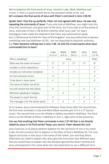We've looked at the final words of Jesus, record in Luke, Mark, Matthew and in Acts 1. Here is a quick answer key to the questions asked so far, and let's compare the final words of Jesus with Peter's command in Acts 2:38-39.

Spoiler alert: they line up perfectly. Peter not only agreed with Jesus. He was only repeating the commands of Jesus. If you only look at Matthew, you might miss this, since this commission only gives part of the story, but if you look at all the words of Jesus, every part of Acts 2:38 directly matches what Jesus said. For years, theologians have made the statement that Peter was authorized to speak Acts 2:38 because he held the "keys of the kingdom" and was authorized to declare something new (see Matthew 16:19). I am not disputing his Apostolic authority, but Peter declared nothing new in Acts 2:38. He told the crowd exactly what Jesus commanded him to teach.

|                                     | Luke<br>24:13-53 | Mark<br>16:8-20 | Matt<br>28:8-12 | Acts<br>$1:1-12$ | Acts<br>$2:37-40$ |
|-------------------------------------|------------------|-----------------|-----------------|------------------|-------------------|
| Who is speaking?                    | Jesus            |                 |                 |                  | Peter             |
| What was the order of events?       | $1^{\rm st}$     | 1 <sup>st</sup> | 2 <sub>nd</sub> | 3 <sup>rd</sup>  | 4 <sup>th</sup>   |
| Includes a call to repentance       | $\checkmark$     |                 |                 |                  | $\checkmark$      |
| Includes an instruction to baptize  | ?                | $\checkmark$    | $\checkmark$    |                  | ✓                 |
| For the remission of sins           | $\checkmark$     |                 |                 |                  | ✓                 |
| To be done in Jesus name            | $\checkmark$     |                 |                 |                  |                   |
| The name of Father Son & HG         |                  |                 |                 |                  |                   |
| You will receive the Holy Ghost     | $\checkmark$     |                 |                 | $\checkmark$     | ✓                 |
| Mentions speaking in tongues        |                  | $\checkmark$    |                 |                  | ✓                 |
| The power to reach the lost         | $\checkmark$     |                 |                 |                  |                   |
| This message is for the whole world | ✓                | $\checkmark$    |                 |                  | ✓                 |

So to review, Jesus commissioned his followers three times after the resurrection, the first time recorded in Luke and Mark (Mark records part of it in a 3<sup>rd</sup> person voice). The second time is on the hillside in Galilee recorded in Matthew. The third time is on the hillside of Olivet in Bethany in Acts 1, right prior to the ascension.

#### Can you find anything that Peter commands in Acts 2:37-40 that is not directly stated by Jesus in His final words? Nope, you cannot. Peter obeyed the Lord.

Jesus instructs us to plainly perform baptism for the remission of sins in his name (Luke 24) and connects this to baptism in the titles of God in Matthew 28. The only logical conclusion is that Jesus is the name of the Father, Son and Holy Ghost. Otherwise you need to explain why Jesus give the instruction two different ways. And you would have to explain why the disciples ignored the direct command of Jesus and baptized in His name when He instructed them to use a different form.